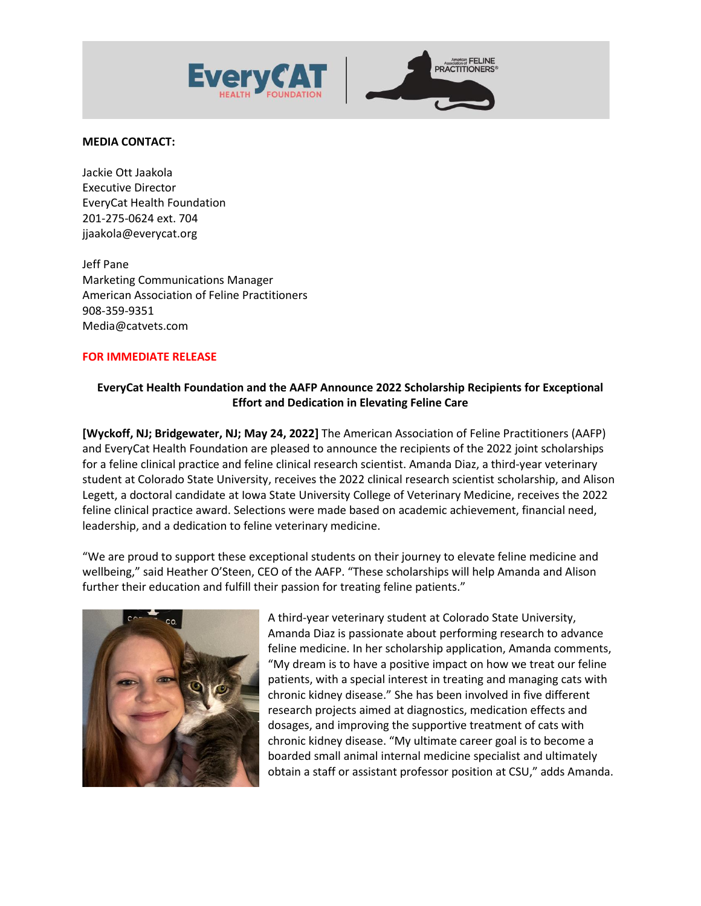



## **MEDIA CONTACT:**

Jackie Ott Jaakola Executive Director EveryCat Health Foundation 201-275-0624 ext. 704 jjaakola@everycat.org

Jeff Pane Marketing Communications Manager American Association of Feline Practitioners 908-359-9351 Media@catvets.com

## **FOR IMMEDIATE RELEASE**

# **EveryCat Health Foundation and the AAFP Announce 2022 Scholarship Recipients for Exceptional Effort and Dedication in Elevating Feline Care**

**[Wyckoff, NJ; Bridgewater, NJ; May 24, 2022]** The American Association of Feline Practitioners (AAFP) and EveryCat Health Foundation are pleased to announce the recipients of the 2022 joint scholarships for a feline clinical practice and feline clinical research scientist. Amanda Diaz, a third-year veterinary student at Colorado State University, receives the 2022 clinical research scientist scholarship, and Alison Legett, a doctoral candidate at Iowa State University College of Veterinary Medicine, receives the 2022 feline clinical practice award. Selections were made based on academic achievement, financial need, leadership, and a dedication to feline veterinary medicine.

"We are proud to support these exceptional students on their journey to elevate feline medicine and wellbeing," said Heather O'Steen, CEO of the AAFP. "These scholarships will help Amanda and Alison further their education and fulfill their passion for treating feline patients."



A third-year veterinary student at Colorado State University, Amanda Diaz is passionate about performing research to advance feline medicine. In her scholarship application, Amanda comments, "My dream is to have a positive impact on how we treat our feline patients, with a special interest in treating and managing cats with chronic kidney disease." She has been involved in five different research projects aimed at diagnostics, medication effects and dosages, and improving the supportive treatment of cats with chronic kidney disease. "My ultimate career goal is to become a boarded small animal internal medicine specialist and ultimately obtain a staff or assistant professor position at CSU," adds Amanda.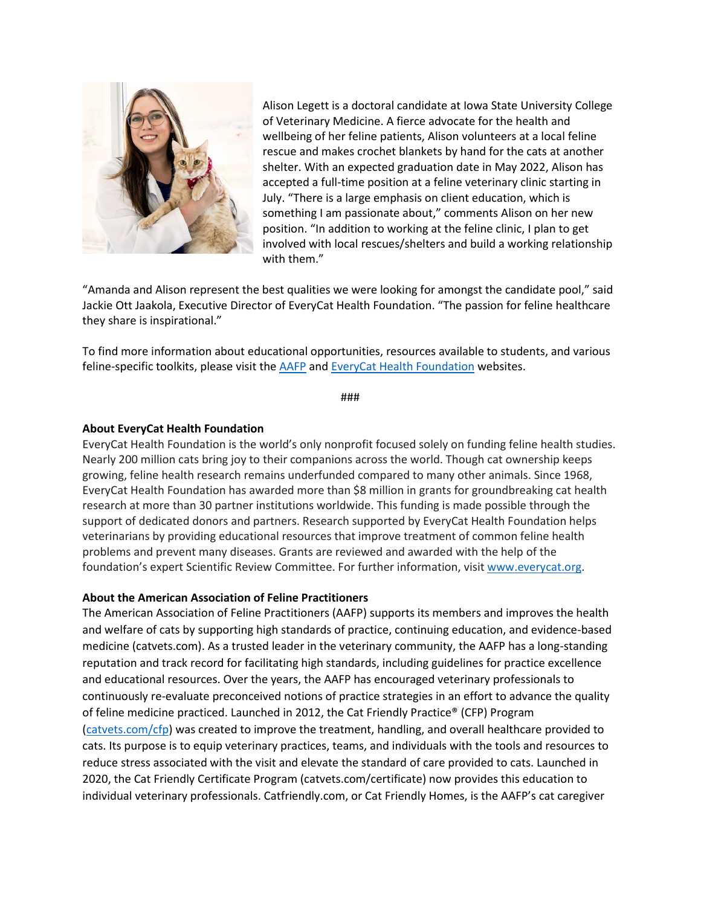

Alison Legett is a doctoral candidate at Iowa State University College of Veterinary Medicine. A fierce advocate for the health and wellbeing of her feline patients, Alison volunteers at a local feline rescue and makes crochet blankets by hand for the cats at another shelter. With an expected graduation date in May 2022, Alison has accepted a full-time position at a feline veterinary clinic starting in July. "There is a large emphasis on client education, which is something I am passionate about," comments Alison on her new position. "In addition to working at the feline clinic, I plan to get involved with local rescues/shelters and build a working relationship with them."

"Amanda and Alison represent the best qualities we were looking for amongst the candidate pool," said Jackie Ott Jaakola, Executive Director of EveryCat Health Foundation. "The passion for feline healthcare they share is inspirational."

To find more information about educational opportunities, resources available to students, and various feline-specific toolkits, please visit the [AAFP](http://www.catvets.com/) and [EveryCat Health Foundation](https://everycat.org/) websites.

###

### **About EveryCat Health Foundation**

EveryCat Health Foundation is the world's only nonprofit focused solely on funding feline health studies. Nearly 200 million cats bring joy to their companions across the world. Though cat ownership keeps growing, feline health research remains underfunded compared to many other animals. Since 1968, EveryCat Health Foundation has awarded more than \$8 million in grants for groundbreaking cat health research at more than 30 partner institutions worldwide. This funding is made possible through the support of dedicated donors and partners. Research supported by EveryCat Health Foundation helps veterinarians by providing educational resources that improve treatment of common feline health problems and prevent many diseases. Grants are reviewed and awarded with the help of the foundation's expert Scientific Review Committee. For further information, visit [www.everycat.org.](http://www.everycat.org/)

#### **About the American Association of Feline Practitioners**

The American Association of Feline Practitioners (AAFP) supports its members and improves the health and welfare of cats by supporting high standards of practice, continuing education, and evidence-based medicine (catvets.com). As a trusted leader in the veterinary community, the AAFP has a long-standing reputation and track record for facilitating high standards, including guidelines for practice excellence and educational resources. Over the years, the AAFP has encouraged veterinary professionals to continuously re-evaluate preconceived notions of practice strategies in an effort to advance the quality of feline medicine practiced. Launched in 2012, the Cat Friendly Practice® (CFP) Program [\(catvets.com/](http://www.catvets.com/)cfp) was created to improve the treatment, handling, and overall healthcare provided to cats. Its purpose is to equip veterinary practices, teams, and individuals with the tools and resources to reduce stress associated with the visit and elevate the standard of care provided to cats. Launched in 2020, the Cat Friendly Certificate Program (catvets.com/certificate) now provides this education to individual veterinary professionals. Catfriendly.com, or Cat Friendly Homes, is the AAFP's cat caregiver